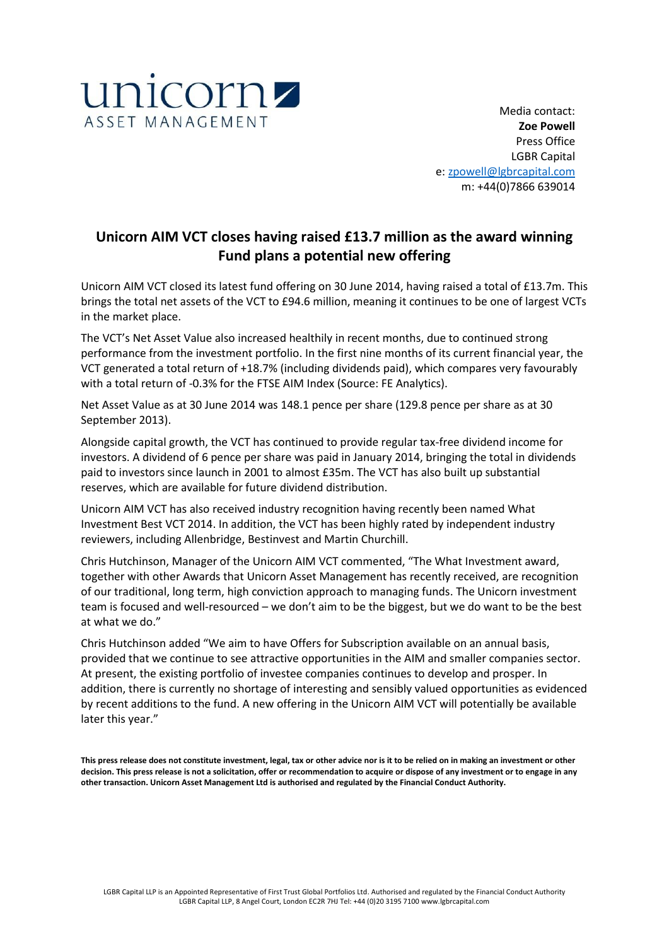

Media contact: **Zoe Powell** Press Office LGBR Capital e: [zpowell@lgbrcapital.com](mailto:zpowell@lgbrcapital.com) m: +44(0)7866 639014

# **Unicorn AIM VCT closes having raised £13.7 million as the award winning Fund plans a potential new offering**

Unicorn AIM VCT closed its latest fund offering on 30 June 2014, having raised a total of £13.7m. This brings the total net assets of the VCT to £94.6 million, meaning it continues to be one of largest VCTs in the market place.

The VCT's Net Asset Value also increased healthily in recent months, due to continued strong performance from the investment portfolio. In the first nine months of its current financial year, the VCT generated a total return of +18.7% (including dividends paid), which compares very favourably with a total return of -0.3% for the FTSE AIM Index (Source: FE Analytics).

Net Asset Value as at 30 June 2014 was 148.1 pence per share (129.8 pence per share as at 30 September 2013).

Alongside capital growth, the VCT has continued to provide regular tax-free dividend income for investors. A dividend of 6 pence per share was paid in January 2014, bringing the total in dividends paid to investors since launch in 2001 to almost £35m. The VCT has also built up substantial reserves, which are available for future dividend distribution.

Unicorn AIM VCT has also received industry recognition having recently been named What Investment Best VCT 2014. In addition, the VCT has been highly rated by independent industry reviewers, including Allenbridge, Bestinvest and Martin Churchill.

Chris Hutchinson, Manager of the Unicorn AIM VCT commented, "The What Investment award, together with other Awards that Unicorn Asset Management has recently received, are recognition of our traditional, long term, high conviction approach to managing funds. The Unicorn investment team is focused and well-resourced – we don't aim to be the biggest, but we do want to be the best at what we do."

Chris Hutchinson added "We aim to have Offers for Subscription available on an annual basis, provided that we continue to see attractive opportunities in the AIM and smaller companies sector. At present, the existing portfolio of investee companies continues to develop and prosper. In addition, there is currently no shortage of interesting and sensibly valued opportunities as evidenced by recent additions to the fund. A new offering in the Unicorn AIM VCT will potentially be available later this year."

**This press release does not constitute investment, legal, tax or other advice nor is it to be relied on in making an investment or other decision. This press release is not a solicitation, offer or recommendation to acquire or dispose of any investment or to engage in any other transaction. Unicorn Asset Management Ltd is authorised and regulated by the Financial Conduct Authority.**